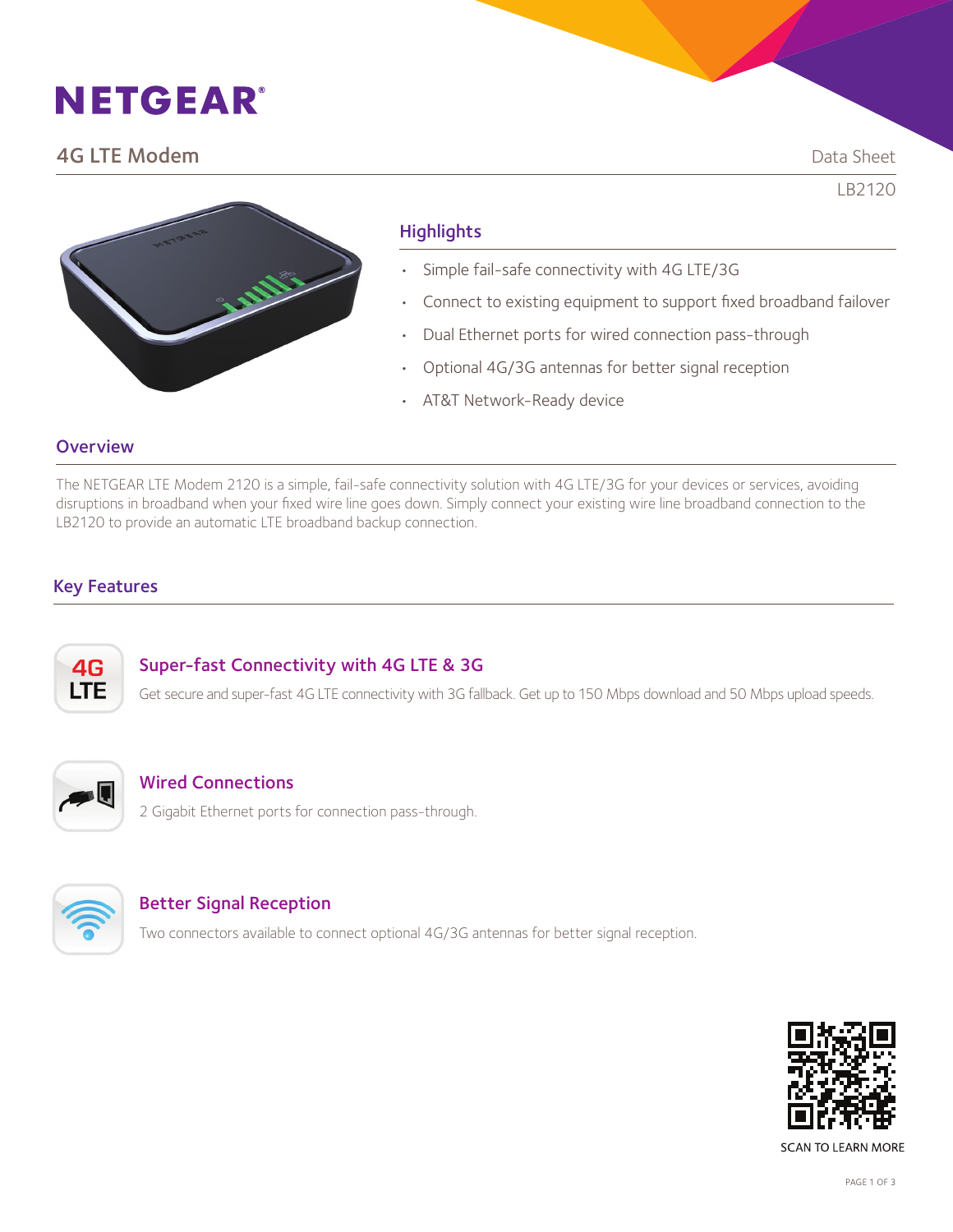# **NETGEAR®**

# **4G LTE Modem** Data Sheet

LB2120

# **Highlights**

- Simple fail-safe connectivity with 4G LTE/3G
- Connect to existing equipment to support fixed broadband failover
- Dual Ethernet ports for wired connection pass-through
- Optional 4G/3G antennas for better signal reception
- AT&T Network-Ready device

### **Overview**

The NETGEAR LTE Modem 2120 is a simple, fail-safe connectivity solution with 4G LTE/3G for your devices or services, avoiding disruptions in broadband when your fixed wire line goes down. Simply connect your existing wire line broadband connection to the LB2120 to provide an automatic LTE broadband backup connection.

## Key Features



### Super-fast Connectivity with 4G LTE & 3G

Get secure and super-fast 4G LTE connectivity with 3G fallback. Get up to 150 Mbps download and 50 Mbps upload speeds.



## Wired Connections

2 Gigabit Ethernet ports for connection pass-through.



### Better Signal Reception

Two connectors available to connect optional 4G/3G antennas for better signal reception.



**SCAN TO LEARN MORE**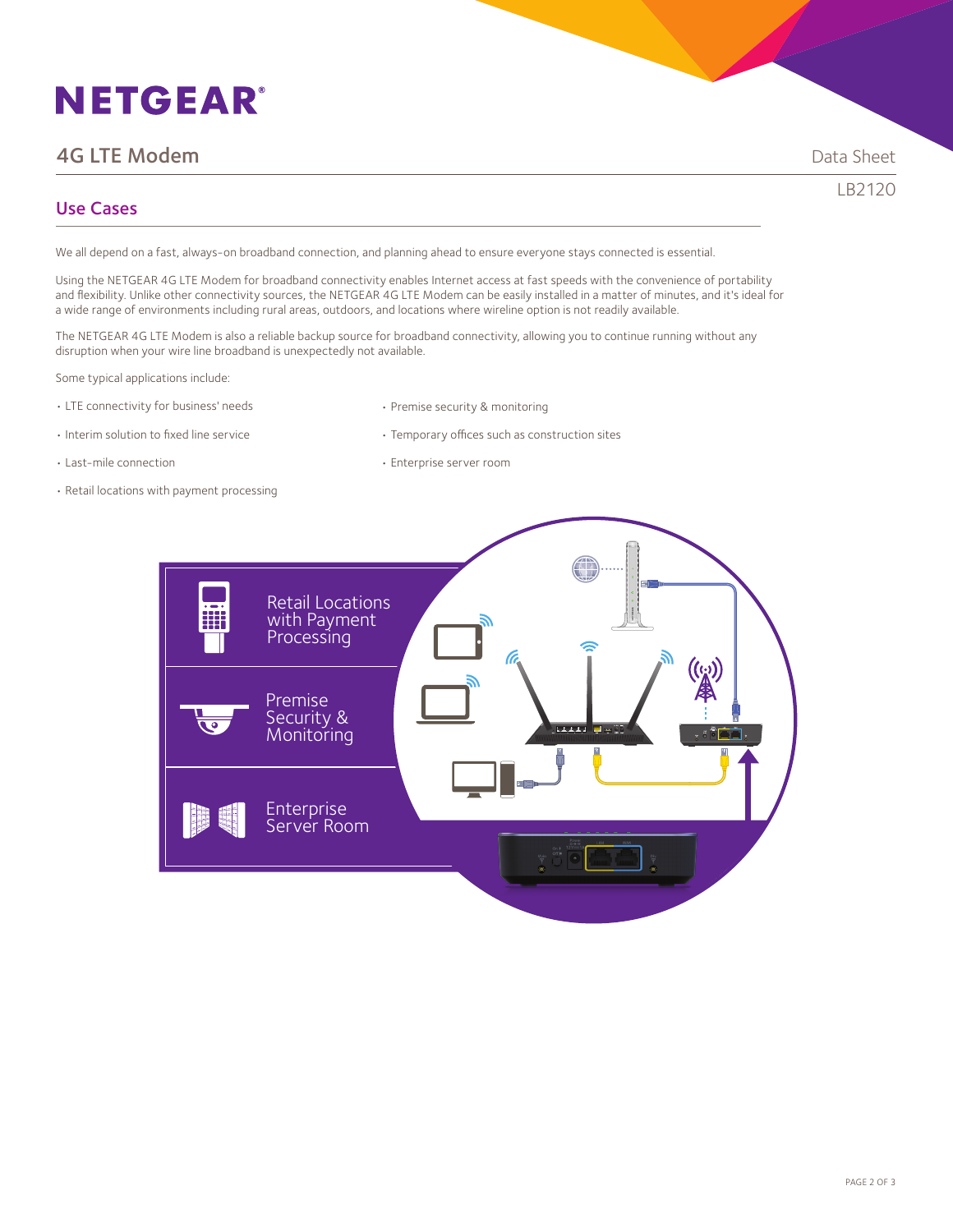# **NETGEAR®**

# **4G LTE Modem And Sheet Contains a structure of the Contains and Sheet Contains a Sheet Contains a Sheet Contains a Sheet Contains a Sheet Contains a Sheet Contains a Sheet Contains a Sheet Contains a Sheet Contains a Shee**

LB2120

## Use Cases

We all depend on a fast, always-on broadband connection, and planning ahead to ensure everyone stays connected is essential.

Using the NETGEAR 4G LTE Modem for broadband connectivity enables Internet access at fast speeds with the convenience of portability and flexibility. Unlike other connectivity sources, the NETGEAR 4G LTE Modem can be easily installed in a matter of minutes, and it's ideal for a wide range of environments including rural areas, outdoors, and locations where wireline option is not readily available.

The NETGEAR 4G LTE Modem is also a reliable backup source for broadband connectivity, allowing you to continue running without any disruption when your wire line broadband is unexpectedly not available.

Some typical applications include:

- LTE connectivity for business' needs
- Interim solution to fixed line service

• Premise security & monitoring

• Temporary offices such as construction sites

- 
- Last-mile connection
- Retail locations with payment processing
- Enterprise server room